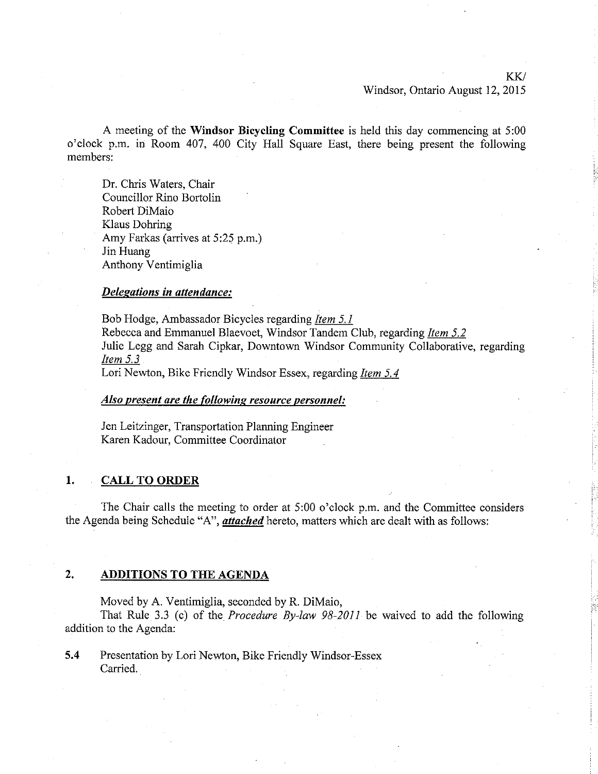### KK/ Windsor, Ontario August 12,2015

ì

A meeting of the Windsor Bicycling Committee is held this day commencing at 5:00 o'clock p.m. in Room 407, 400 City Hall Square East, there being present the following members:

Dr. Chris Waters, Chair Councillor Rino Bortolin Robert DiMaio Klaus Dohring Amy Farkas (arrives at 5:25 p.m.) Jin Huang Anthony Ventimiglia

### Delegations in attendance:

Bob Hodge, Ambassador Bicycles regarding *Item 5.1* Rebecca and Emmanuel Blaevoet, Windsor Tandem Club, regarding ltem 5.2 Julie Legg and Sarah Cipkar, Downtown Windsor Community Collaborative, regarding Item 5.3

Lori Newton, Bike Friendly Windsor Essex, regarding *Item 5.4* 

### AIso present are the following resource personnel:

Jen Leitzinger, Transportation Planning Engineer Karen Kadour. Committee Coordinator

### 1. CALL TO ORDER

The Chair calls the meeting to order at 5:00 o'clock p.m. and the Committee considers the Agenda being Schedule "A", *attached* hereto, matters which are dealt with as follows:

### 2. ADDITIONS TO THE AGENDA

Moved by A. Ventimiglia, seconded by R. DiMaio,

That Rule 3.3 (c) of the *Procedure By-law 98-2011* be waived to add the following addition to the Agenda:

5,4 Presentation by Lori Newton, Bike Friendly Windsor-Essex Carried.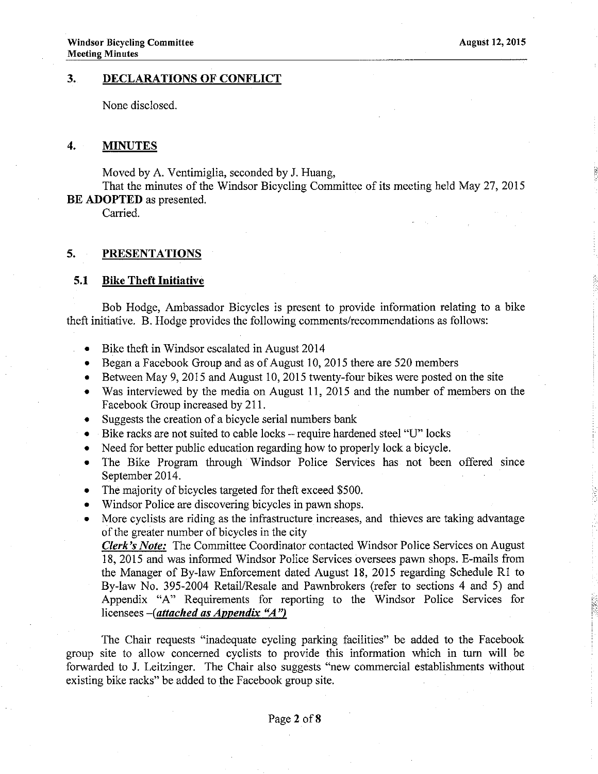### 3. DECLARATIONS OF CONFLICT

None disclosed.

### 4. MINUTES

Moved by A. Ventimiglia, seconded by J. Huang,

That the minutes of the Windsor Bicycling Committee of its meeting held May 27 , 2015 BE ADOPTED as presented.

Carried.

### 5. PRESENTATIONS

### 5.1 Bike Theft Initiative

Bob Hodge, Ambassador Bicycles is present to provide information relating to a bike theft initiative. B. Hodge provides the following comments/recommendations as follows:

- Bike theft in Windsor escalated in August 2014
- Began a Facebook Group and as of August 10, 2015 there are 520 members
- Between May 9, 2015 and August 10, 2015 twenty-four bikes were posted on the site
- . Was interviewed by the media on August 11,2015 and the number of members on the Facebook Group increased by 211.
- $\bullet$  Suggests the creation of a bicycle serial numbers bank
- Bike racks are not suited to cable locks -- require hardened steel "U" locks<br>• Need for better public education regarding how to properly lock a bicycle
- Need for better public education regarding how to properly lock a bicycle.
- The Bike Program through Windsor Police Services has not been offered since September 2014.
- The majority of bicycles targeted for theft exceed \$500.
- . Windsor Police are discovering bicycles in pawn shops.
- More cyclists are riding as the infrastructure increases, and thieves are taking advantage of the greater number of bicycles in the city

Clerk's Note: The Committee Coordinator contacted Windsor Police Services on August 18, 2015 and was informed Windsor Police Services oversees pawn shops. E-mails from the Manager of By-law Enforcement dated August 18, 2015 regarding Schedule R1 to By-law No. 395-2004 RetaiVResale and Pawnbrokers (refer to sections 4 and 5) and Appendix "A" Requirements for reporting to the Windsor Police Services for licensees  $-(attached as Appendix "A")$ 

The Chair requests "inadequate cycling parking facilities" be added to the Facebook group site to allow concerned cyclists to provide this information which in turn will be forwarded to J. Leitzinger. The Chair also suggests "new commercial establishments without existing bike racks" be added to the Facebook group site.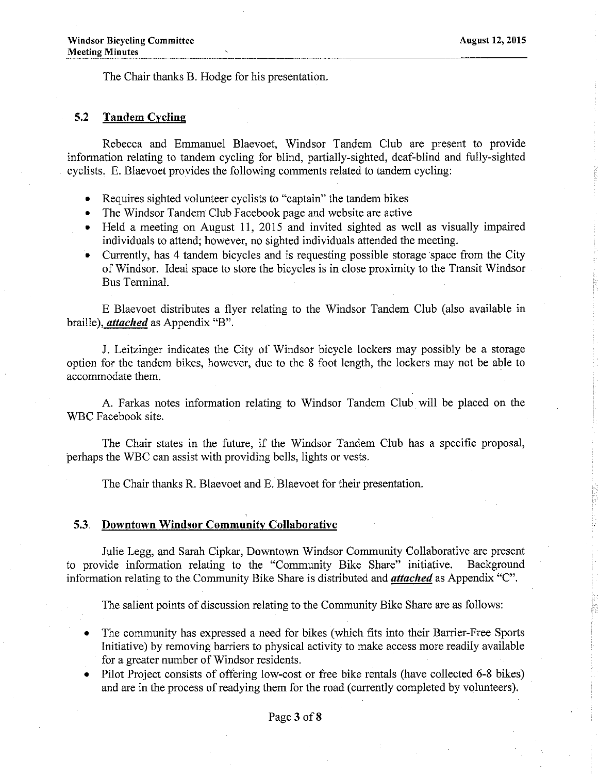The Chair thanks B. Hodge for his presentation.

### 5.2 Tandem Cyclinq

Rebecca and Emmanuel Blaevoet, Windsor Tandem Club are present to provide information relating to tandem cycling for blind, partially-sighted, deaf-blind and fully-sighted cyclists. E. Blaevoet provides the following comments related to tandem cycling:

- r Requires sighted volunteer cyclists to "captain" the tandem bikes
- . The Windsor Tandem Club Facebook page and website are active
- o Held a meeting on August 11, 2015 and invited sighted as well as visually impaired individuals to attend; however, no sighted individuals attended the meeting.
- r Currently, has 4 tandem bicycles and is requesting possible storage space from the City of Windsor. Ideal space to store the bicycles is in close proximity to the Transit Windsor Bus Terminal.

E Blaevoet distributes a flyer relating to the Windsor Tandem Club (also available in braille), *attached* as Appendix "B".

J. Leitzinger indicates the City of Windsor bicycle lockers may possibly be a storage option for the tandem bikes, however, due to the 8 foot length, the lockers may not be able to accommodate them.

A. Farkas notes information relating to Windsor Tandem Club will be placed on the WBC Facebook site.

The Chair states in the future, if the Windsor Tandem Club has a specific proposal, þerhaps the WBC ca¡ assist with providing bells, lights or vests.

The Chair thanks R. Blaevoet and E. Blaevoet for their presentation.

### 5.3 Downtown Windsor Communitv Collaborative

Julie Legg, and Sarah Cipkar, Downtown Windsor Community Collaborative are present to provide information relating to the "Community Bike Share" initiative. Background information relating to the Community Bike Share is distributed and *attached* as Appendix "C".

The salient points of discussion relating to the Community Bike Share are as follows:

- . The community has expressed a need for bikes (which fits into their Barrier-Free Sports Initiative) by removing barriers to physical activity to make access more readiiy available for a greater number of Windsor residents.
- Pilot Project consists of offering low-cost or free bike rentals (have collected 6-8 bikes) and are in the process of readying them for the road (currently completed by volunteers).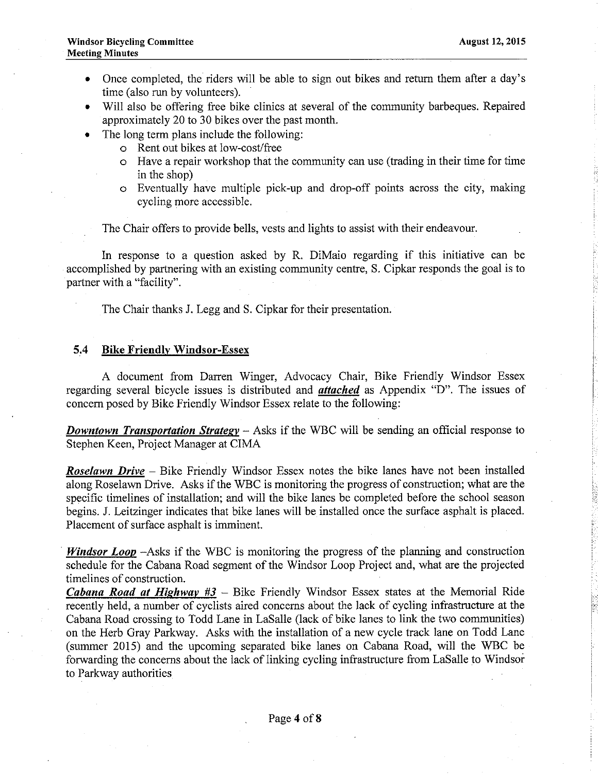t' r

- Once completed, the riders will be able to sign out bikes and return them after a day's time (also run by volunteers).
- Will also be offering free bike clinics at several of the community barbeques. Repaired approximately 20 to 30 bikes over the past month.
- The long term plans include the following:
	- o Rent out bikes at low-cost/free
	- o Have a repair workshop that the community can use (trading in their time for time in the shop)
	- o Eventually have multiple pick-up and drop-off points across the city, making cycling more accessible.

The Chair offers to provide bells, vests and lights to assist with their endeavour.

In response to a question asked by R. DiMaio regarding if this initiative can be accomplished by partnering with an existing community centre, S. Cipkar responds the goal is to partner with a "facility''.

The Chair thanks J. Legg and S. Cipkar for their presentation.

### 5,4 Bike Friendlv Windsor-Essex

A document from Darren Winger, Advocacy Chair, Bike Friendly Windsor Essex regarding several bicycle issues is distributed and *attached* as Appendix "D". The issues of concem posed by Bike Friendly Windsor Essex relate to the following:

**Downtown Transportation Strategy** – Asks if the WBC will be sending an official response to Stephen Keen, Project Manager at CIMA

**Roselawn Drive** – Bike Friendly Windsor Essex notes the bike lanes have not been installed along Roselawn Drive. Asks if the WBC is monitoring the progress of construction; what are the specific timelines of installation; and will the bike lanes be completed before the school season begins. J. Leitzinger indicates that bike lanes will be installed once the surface asphalt is placed. Placement of surface asphalt is imminent.

*Windsor Loop*  $-A$ sks if the WBC is monitoring the progress of the planning and construction schedule for the Cabana Road segment of the Windsor Loop Project and, what are the projected timelines of construction.

*Cabana Road at Highway #3 – Bike Friendly Windsor Essex states at the Memorial Ride* recently held, a number of cyclists aired concerns about the lack of cycling infrastructure at the Cabana Road crossing to Todd Lane in LaSalle (lack of bike lanes to link the two communities) on the Herb Gray Parkway. Asks with the installation of a new cycle track lane on Todd Lane (summer 2015) and the upcoming separated bike lanes on Cabana Road, will the WBC be forwarding the concerns about the lack of linking cycling infrastructure from LaSalle to Windsor to Parkway authorities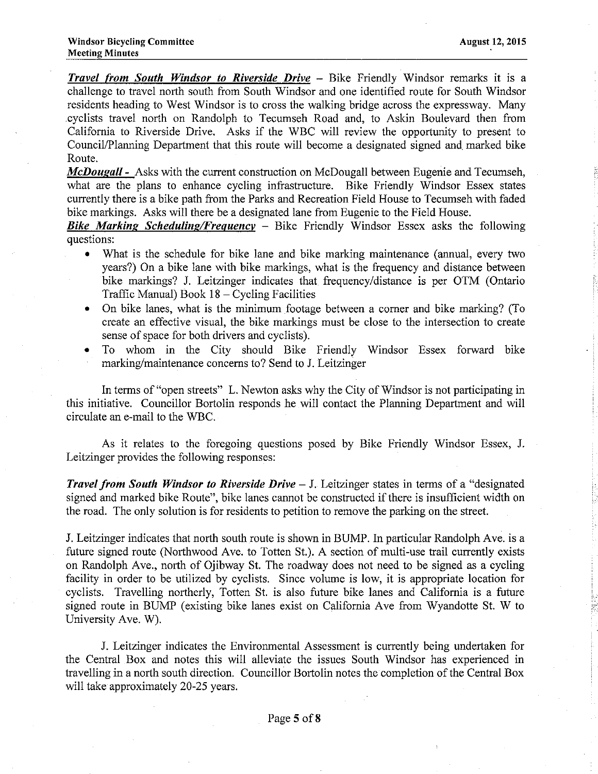**Travel from South Windsor to Riverside Drive - Bike Friendly Windsor remarks it is a** challenge to travel north south from South Windsor and one identified route for South Windsor residents heading to West Windsor is to cross the walking bridge across the expressway. Many .cyclists travel north on Randolph to Tecumseh Road and, to Askin Boulevard then from California to Riverside Drive. Asks if the WBC will review the opporfunity to present to Council/Planning Department that this route will become a designated signed and marked bike Route.

McDougall - Asks with the current construction on McDougall between Eugenie and Tecumseh, what are the plans to enhance cycling infrastructure. Bike Friendly Windsor Essex states currently there is a bike path from the Parks and Recreation Field House to Tecumseh with faded bike markings. Asks will there be a designated lane from Eugenie to the Field House.

**Bike Marking Scheduling/Frequency** – Bike Friendly Windsor Essex asks the following questions:

- What is the schedule for bike lane and bike marking maintenance (annual, every two years?) On a bike lane with bike markings, what is the frequency and distance between bike markings? J. Leitzinger indicates that frequency/distance is per OTM (Ontario Traffic Manual) Book 18 - Cycling Facilities
- . On bike lanes, what is the minimum footage between a comer and bike marking? (To create an effective visual, the bike markings must be close to the intersection to create sense of space for both drivers and cyclists).
- To whom in the City should Bike Friendly Windsor Essex forward bike marking/maintenance concems to? Send to J. Leitzinger

In terms of "open streets" L. Newton asks why the City of Windsor is not participating in this initiative. Councillor Bortolin responds he will contact the Planning Department and will circulate an e-mail to the WBC.

As it relates to the foregoing questions posed by Bike Friendly Windsor Essex, J. Leitzinger provides the following responses:

**Travel from South Windsor to Riverside Drive - J.** Leitzinger states in terms of a "designated" signed and marked bike Route", bike Ianes cannot be constructed if there is insufficient width on the road. The only solution is for residents to petition to remove the parking on the street.

I. Leitzinger indicates that north south route is shown in BUMP. In particular Randolph Ave. is a future signed route (Northwood Ave. to Totten St.). A section of multi-use trail currently exists on Randolph Ave., north of Ojibway St. The roadway does not need to be signed as a cycling facility in order to be utilized by cyclists. Since volume is low, it is appropriate location for cyclists. Travelling northerly, Totten St. is also future bike lanes and Califomia is a future signed route in BUMP (existing bike lanes exist on California Ave from Wyandotte St. W to University Ave. W).

J. Leitzinger indicates the Environmental Assessment is currently being undertaken for the Central Box and notes this will alieviate the issues South Windsor has experienced in travelling in a north south direction. Councillor Bortolin notes the completion of the Central Box will take approximately 20-25 years.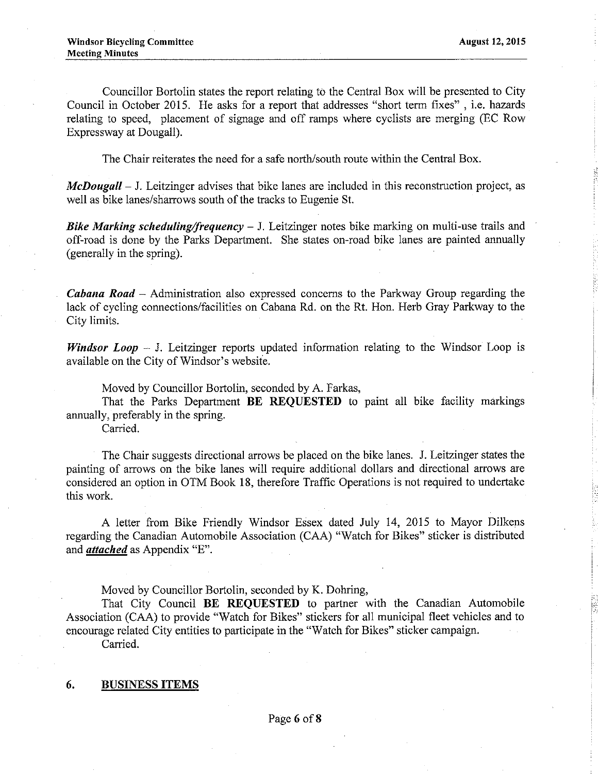Councillor Bortolin states the report relating to the Central Box will be presented to City Council in October 2015. He asks for a report that addresses "short term fixes", i.e. hazards relating to speed, placement of signage and off ramps where cyclists are merging (EC Row Expressway at Dougall).

The Chair reiterates the need for a safe north/south route within the Central Box.

 $McDougall - J. Leitzinger$  advises that bike lanes are included in this reconstruction project, as well as bike lanes/sharrows south of the tracks to Eugenie St.

**Bike Marking scheduling/frequency** – J. Leitzinger notes bike marking on multi-use trails and off-road is done by the Parks Department. She states on-road bike lanes are painted annually (generally in the spring).

**Cabana Road** – Administration also expressed concerns to the Parkway Group regarding the lack of cycling connections/facilities on Cabana Rd. on the Rt. Hon. Herb Gray Parkway to the City limits.

**Windsor Loop**  $-$  J. Leitzinger reports updated information relating to the Windsor Loop is available on the City of Windsor's website.

Moved by Councillor Bortolin, seconded by A. Farkas,

That the Parks Department BE REOUESTED to paint all bike facility markings annually, preferably in the spring.

Carried.

The Chair suggests directional arrows be placed on the bike lanes. J. Leitzinger states the painting of arrows on the bike lanes will require additional dollars and directional arrows are considered an option in OTM Book 18, therefore Traffic Operations is not required to undertake thìs work.

A letter from Bike Friendly Windsor Essex dated July 14, 2015 to Mayor Dilkens regarding the Canadian Automobile Association (CAA) "Watch for Bikes" sticker is distributed and *attached* as Appendix "E".

Moved by Councillor Bortolin, seconded by K. Dohring,

That City Council BE REQUESTED to partner with the Canadian Automobile Association (CAA) to provide "Watch for Bikes" stickers for al1 municipal fleet vehicles and to encourage related City entities to participate in the "Watch for Bikes" sticker campaign. Carried.

### 6. BUSINESS ITEMS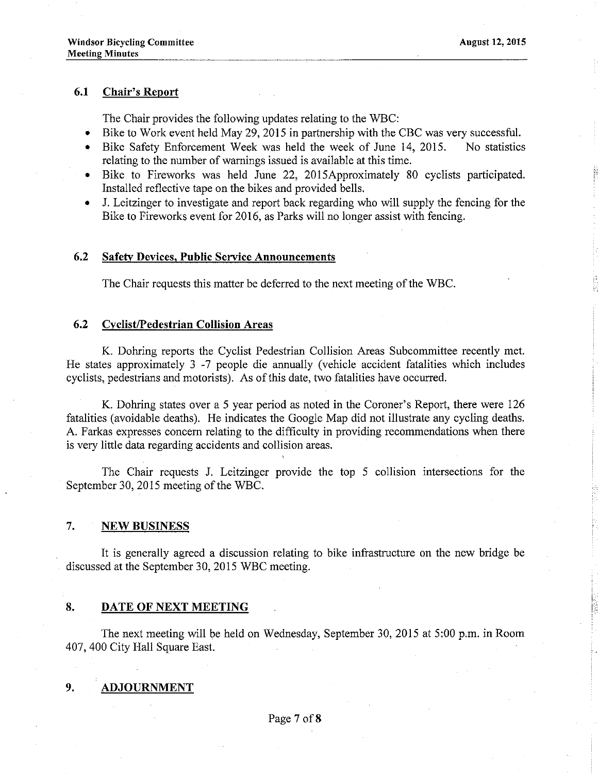### 6.1 Chair's Report

The Chair provides the following updates relating to the WBC:

- Bike to Work event held May 29, 2015 in partnership with the CBC was very successful.
- Bike Safety Enforcement Week was held the week of June 14, 2015. No statistics relating to the number of warnings issued is available at this time.
- Bike to Fireworks was held June 22, 2015Approximately 80 cyclists participated. Installed reflective tape on the bikes and provided bells.
- J. Leitzinger to investigate and report back regarding who will supply the fencing for the Bike to Fireworks event for 2016, as Parks will no longer assist with fencing.

### 6.2 Safety Devices, Public Service Announcements

The Chair requests this matter be defened to the next meeting of the WBC.

### 6.2 Cyclist/Pedestrian Collision Areas

K. Dohring reports the Cyclist Pedestrian Collision Areas Subcommittee recently met. He states approximately 3 -7 people die annually (vehicle accident fatalities which includes cyclists, pedestrians and motorists). As of this date, two fatalities have occurred.

K. Dohring states over a 5 year period as noted in the Coroner's Report, there werc 126 fatalities (avoidable deaths). He indicates the Google Map did not illustrate any cycling deaths. A. Farkas expresses concem relating to the difficulty in providing recommendations when there is very little data regarding accidents and collision areas.

The Chair requests J. Leitzinger provide the top 5 collision intersections for the September 30,2015 meeting of the wBC.

### 7. NEW BUSINESS

It is generaliy agreed a discussion relating to bike infrastructure on the new bridge be discussed at the September 30, 2015 WBC meeting.

### 8. DATE OF NEXT MEETING

The next meeting will be held on Wednesday, September 30,2015 at 5:00 p.m. in Room 407, 400 City Hall Square East.

### 9. ADJOURNMENT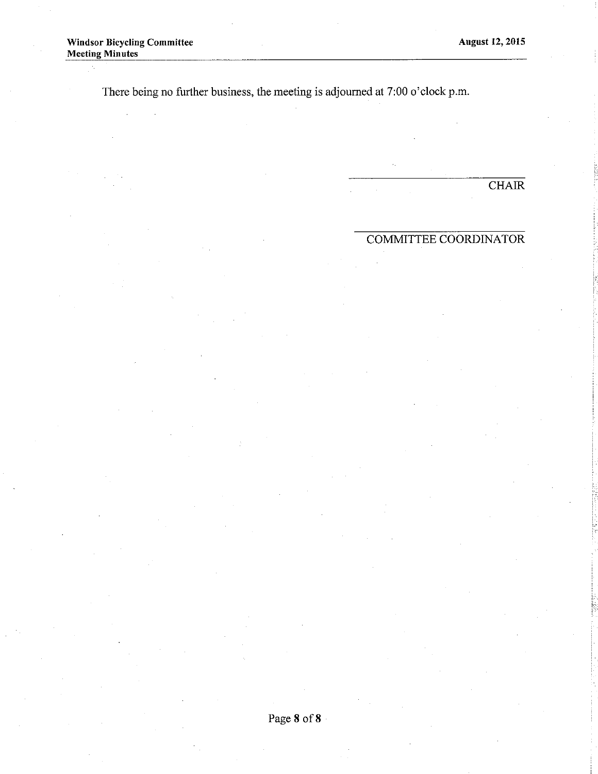J.

There being no further business, the meeting is adjoumed at 7:00 o'clock p.m.

 $\overline{\text{CHAIR}}$ 

## COMMITTEE COORDINATOR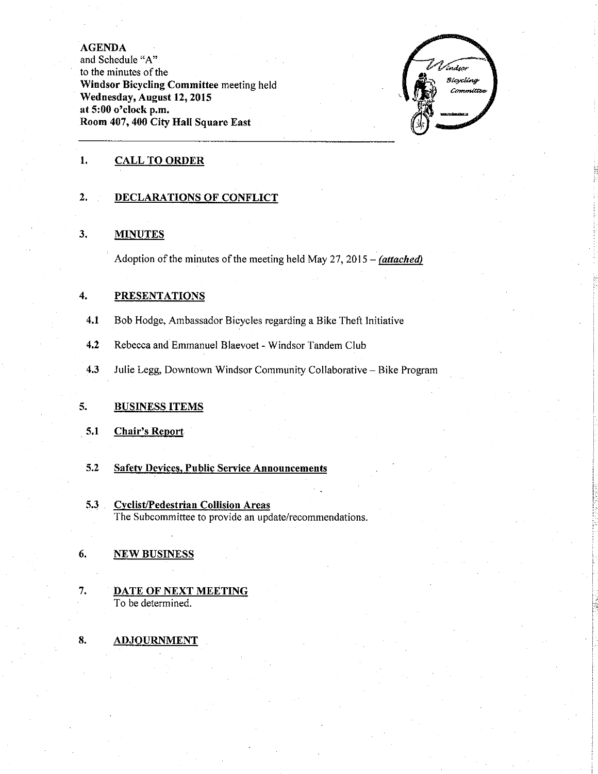**AGENDA** 

and Schedule "A" to the minutes of the Windsor Bicycling Committee meeting held Wednesday, August 12, 2015 at 5:00 o'clock p.m. Room 407, 400 City Hall Square East



#### 1. **CALL TO ORDER**

#### $2.$ **DECLARATIONS OF CONFLICT**

#### $3.$ **MINUTES**

Adoption of the minutes of the meeting held May 27, 2015 – (attached)

#### $\overline{4}$ . **PRESENTATIONS**

- $4.1$ Bob Hodge, Ambassador Bicycles regarding a Bike Theft Initiative
- $4.2$ Rebecca and Emmanuel Blaevoet - Windsor Tandem Club
- $4.3$ Julie Legg, Downtown Windsor Community Collaborative - Bike Program

#### **BUSINESS ITEMS**  $5.$

#### 5.1 **Chair's Report**

- $5.2$ **Safety Devices, Public Service Announcements**
- $5.3$ **Cyclist/Pedestrian Collision Areas** The Subcommittee to provide an update/recommendations.

#### 6. **NEW BUSINESS**

- $7.$ **DATE OF NEXT MEETING** To be determined.
- 8. **ADJOURNMENT**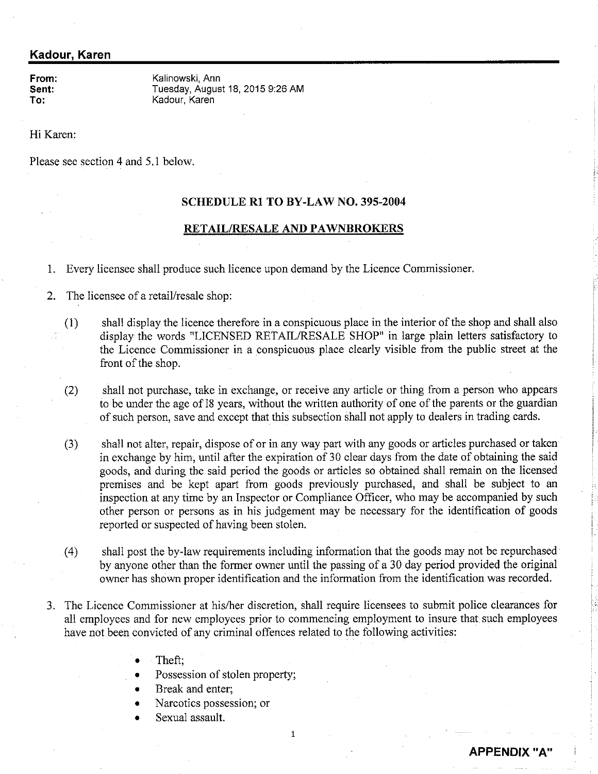### Kadour, Karen

From: Sent: To:

Kalinowski, Ann Tuesday, August 18, 2015 9:26 AM Kadour, Karen

Hi Karen:

Please see section 4 and 5.1 below.

### SCHEDULE Rl TO BY-LAW NO. 395-2004

### RETAIL/RESALE AND PAWNBROKERS

1. Every licensee shall produce such licence upon demand by the Licence Comrnissioner

2. The licensee of a retail/resale shop:

- shall display the licence therefore in a conspicuous place in the interior of the shop and shall also display the words "LICENSED RETAIL/RESALE SHOP" in large plain letters satisfactory to the Licence Commissioner in a conspicuous place clearly visible from the public street at the front of the shop. (1)
- shall not purchase, take in exchange, or receive any article or thing from a person who appears to be under the age of 18 years, without the written authority of one of the parents or the guardian of such person, save and except that this subsection shall not apply to dealers in trading cards. (2)
- shall not alter, repair, dispose of or in any way part with any goods or articles purchased or taken in exchange by him, until after the expiration of 30 clear days from the date of obtaining the said goods, anã during the said period the goods or articles so obtained shall remain on the licensed premises and be kept apart from goods previously purchased, and shall be subject to an inspection at any time by an Inspector or Compliance Officer, who may be accompanied by such other person or persons as in his judgement may be necessary for the identification of goods reported or suspected of having been stolen. (3)
- shall post the by-law requirements including information that the goods may not be repurchased by anyone other than the former owner until the passing of a 30 day period provided the original owner has shown proper identification and the information from the identification was recorded. (4)
- 3. The Licence Commissioner at his/her discretion, shall require licensees to submit police clearances for all employees and for new employees prior to commencing employment to insure that such employees have not been convicted of any criminal offences related to the following activities:
	- Theft;
	- Possession of stolen property;
	- Break and enter:
	- Narcotics possession; or
	- . Sexual assault.

 $\mathbf{1}$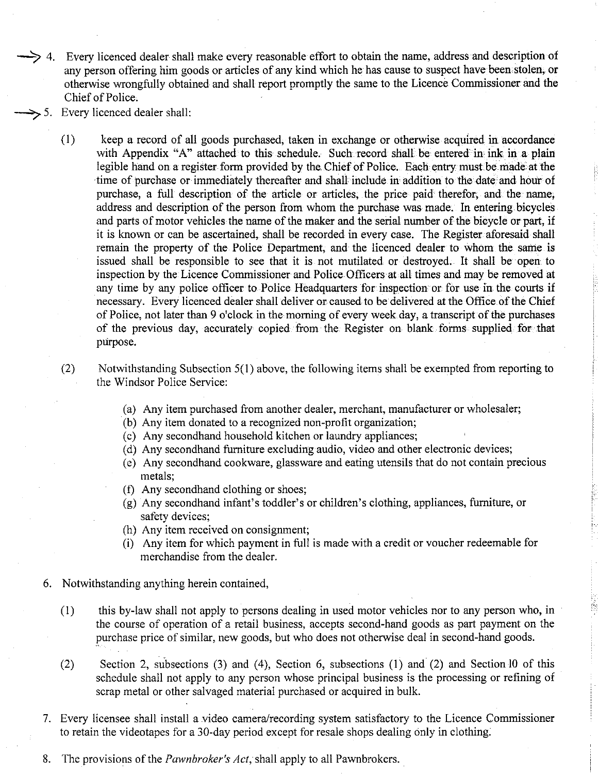- -.>  $\rightarrow$  4. Every licenced dealer shall make every reasonable effort to obtain the name, address and description of any person offering him goods or articles of any kind which he has cause to suspect have been stolen, or otherwise wrongfully obtained and shall report promptly the same to the Licencè Commissioner and the Chief of Police.
	- Every licenced dealer shall:
		- keep a record of all goods purchased, taken in exchange or otherwise acquired in accordance with Appendix "A" attached to this schedule. Such record shall be entered in ink in a plain legible hand on a register form provided by the Chief of Police. Each entry must be made. at the time of purchase or immediately thereafter and shall include in addition to the date and hour of purchase, a full description of the article or articles, the price paid therefor, and the name, address and description of the person from whom the purchase was made. In entering bicycles and parts of motor vehicles the name of the maker and the serial number of the bioycle or part, if it is known or can be ascertained, shall be recorded in every case. The Register aforesaid shall remain the property of the Police Department, and the licenced dealer to whom the same is issued shall be responsible to see that it is not mutilated or destroyed. It shall be open to inspection by the Licence Commissioner and Police Officers at all times and may be removed at any time by any police officer to Police Headquarters for inspection or for use in the courts if necessary. Every licenced dealer shall deliver or caused to be delivered at the Office of the Chief of Police, not later than 9 o'clock in the morning of every week day, a transcript of the purchases of the previous day, accurately copied from the Register on blank forms supplied for tåat purpose. (l)
		- Notwithstanding Subsection 5(1) above, the following items shall be exempted from reporting to the Windsor Police Service: (2)
			- (a) Any item purchased from another dealer, merchant, manufacturer or wholesaler;
			- (b) Any item donated to a recognized non-profit organization;
			- (c) Any secondhand household kitchen or laundry appliances;
			- (d) Any secondhand furniture excluding audio, video and other electronic devices;
			- (e) Any secondhand cookware, glassware and eating utensils that do not contain precious metals;
			- (f) Any secondhand clothing or shoes;
			- (g) Any secondhand infant's toddler's or children's clothing, appliances, fumiture, or safety devices;
			- (h) Any item received on consignment;
			- (i) Any item for which payment in full is made with a credit or voucher redeemable for merchandise from the dealer.
		- 6. Notwithstanding anything herein contained,
			- (1) this by-law shall not apply to persons dealing in used motor vehicles nor to any person who, in the course of operation of a retail business, accepts second-hand goods as part payment on the purchase price of similar, new goods, but who does not otherwise deal in second-hand goods.
			- $(2)$  Section 2, subsections  $(3)$  and  $(4)$ , Section 6, subsections  $(1)$  and  $(2)$  and Section 10 of this schedule shall not apply to any person whose principal business is the processing or refining of scrap metal or other salvaged material purchased or acquired in bulk.
		- Every licensee shall install a video camera"/recording system satisfàctory to the Licence Commissioner to retain the videotapes for a 30-day period except for resale shops dealing only in clothing.
		- 8. The provisions of the *Pawnbroker's Act*, shall apply to all Pawnbrokers.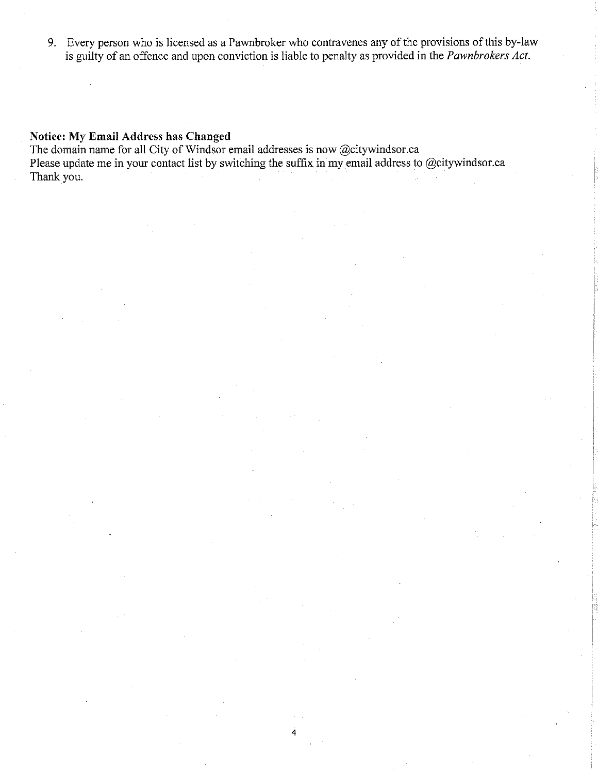9. Every person who is licensed as a Pawnbroker who contravenes any of the provisions of this by-law is guilty of an offence and upon conviction is liable to penalty as provided in the *Pawnbrokers Act*.

4

### Notice: My Email Address has Changed

The domain name for all City of Windsor email addresses is now @citywindsor.ca Please update me in your contact list by switching the suffix in my email address to @citywindsor.ca Thank you.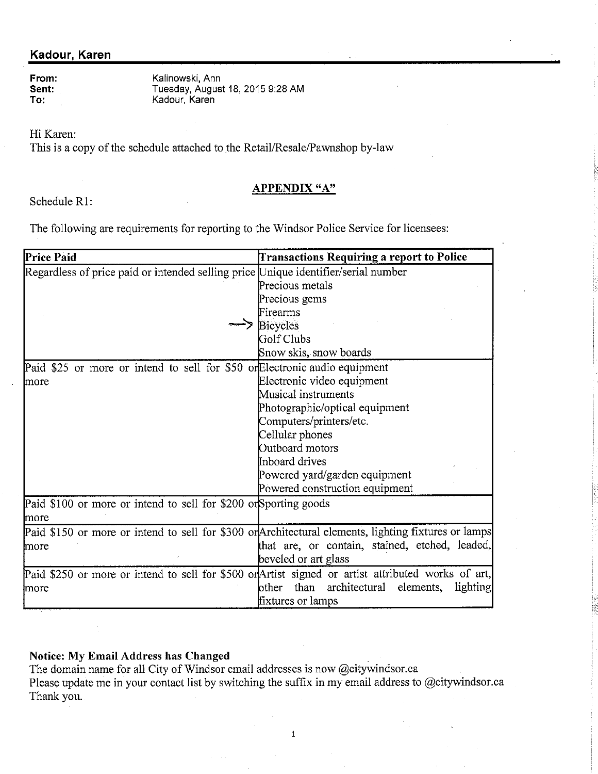### Kadour, Karen

| From: |
|-------|
| Sent: |
| To:   |

Kalinowski, Ann Tuesday, August 18, 2015 9:28 AM<br>Kadour, Karen

Hi Karen:

This is a copy of the schedule attached to the Retail/Resale/Pawnshop by-law

## **APPENDIX "A"**

Schedule R1:

The following are requirements for reporting to the Windsor Police Service for licensees:

| Price Paid                                                                                         | <b>Transactions Requiring a report to Police</b>                                                     |  |  |
|----------------------------------------------------------------------------------------------------|------------------------------------------------------------------------------------------------------|--|--|
| Regardless of price paid or intended selling price Unique identifier/serial number                 |                                                                                                      |  |  |
|                                                                                                    | Precious metals                                                                                      |  |  |
|                                                                                                    | Precious gems                                                                                        |  |  |
|                                                                                                    | Firearms                                                                                             |  |  |
|                                                                                                    | <b>Bicycles</b>                                                                                      |  |  |
|                                                                                                    | Golf Clubs                                                                                           |  |  |
|                                                                                                    | Snow skis, snow boards                                                                               |  |  |
| Paid \$25 or more or intend to sell for \$50 or Electronic audio equipment                         |                                                                                                      |  |  |
| more                                                                                               | Electronic video equipment                                                                           |  |  |
|                                                                                                    | Musical instruments                                                                                  |  |  |
|                                                                                                    | Photographic/optical equipment                                                                       |  |  |
|                                                                                                    | Computers/printers/etc.                                                                              |  |  |
|                                                                                                    | Cellular phones                                                                                      |  |  |
|                                                                                                    | Outboard motors                                                                                      |  |  |
|                                                                                                    | Inboard drives                                                                                       |  |  |
|                                                                                                    | Powered yard/garden equipment                                                                        |  |  |
|                                                                                                    | Powered construction equipment                                                                       |  |  |
| Paid \$100 or more or intend to sell for \$200 or Sporting goods                                   |                                                                                                      |  |  |
| more                                                                                               |                                                                                                      |  |  |
|                                                                                                    | Paid \$150 or more or intend to sell for \$300 or Architectural elements, lighting fixtures or lamps |  |  |
| more                                                                                               | that are, or contain, stained, etched, leaded,                                                       |  |  |
|                                                                                                    | beveled or art glass                                                                                 |  |  |
| Paid \$250 or more or intend to sell for \$500 or Artist signed or artist attributed works of art, |                                                                                                      |  |  |
| more                                                                                               | than architectural<br>elements,<br>lighting<br>other                                                 |  |  |
|                                                                                                    | fixtures or lamps                                                                                    |  |  |

**Notice: My Email Address has Changed** 

The domain name for all City of Windsor email addresses is now @citywindsor.ca Please update me in your contact list by switching the suffix in my email address to @citywindsor.ca Thank you.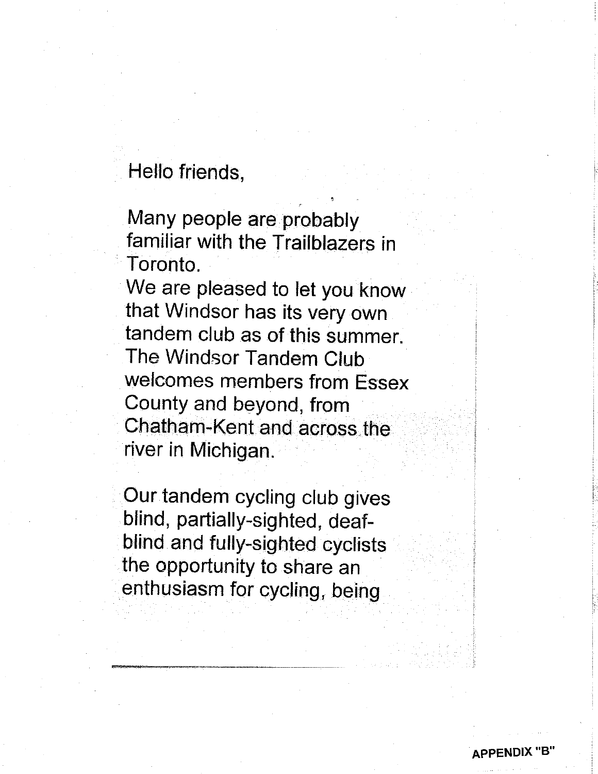# Hello friends,

Many people are probably familiar with the Trailblazers in Toronto.

We are pleased to let you know that Windsor has its very own tandem club as of this summer. The Windsor Tandem Club welcomes members from Essex County and beyond, from Chatham-Kent and across.the river in Michigan.

Our tandem cycling club gives blind, partially-sighted, deafblind and fully-sighted cyclists the opportunity to share an enthusiasm for cycling, being

**APPENDIX**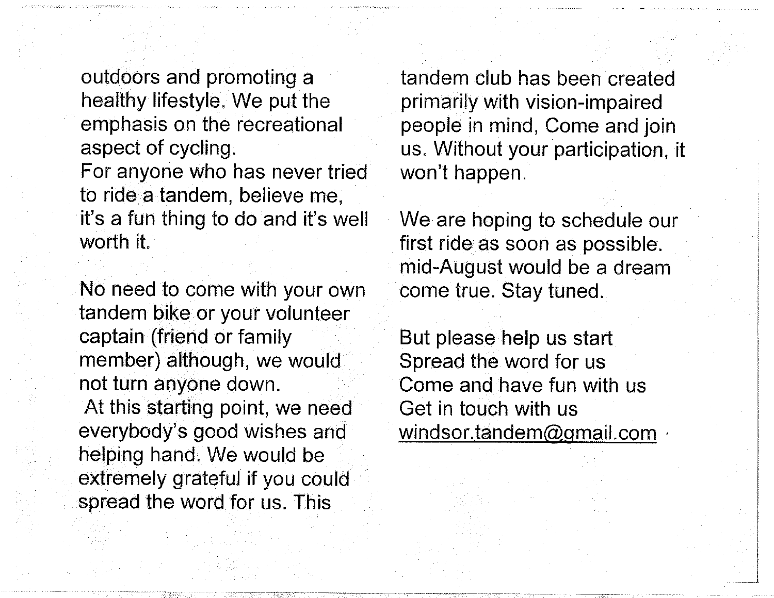outdoors and promoting a healthy lifestyle. We put the emphasis on the recreational aspect of cycling.

For anyone who has never tried to ride a tandem, believe me, it's a fun thing to do and it's well worth it.

No need to come with your own tandenn bike or your volunteer captain (friend or family member) although, we would not turn anyone down. At this starting point, we need everybody's good wishes and helping hand. We would be extremely grateful if you could spread the word for us. This

tandem club has been created primarily with vision-impaired people in mind, Come and join us. Without your participation, it won't happen.

We are hoping to schedule our first ride as soon as possible. mid-August would be a dream come true. Stay tuned.

But please help us start Spread the word for us Come and have fun with us Get in touch with us windsor.tandem@gmail.com,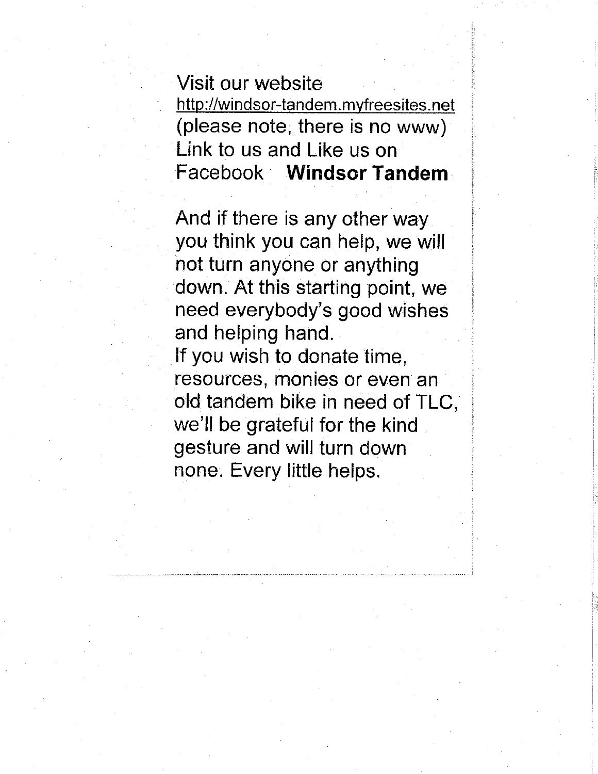Visit our website http://windsor-tandem.myfreesites.net (please note, there is no www) Link to us and Líke us on Facebook Windsor Tandem

And if there is any other way you think you can help, we will not turn anyone or anything down. At this starting point, we need everybody's good wishes and helping hand. lf you wish to donate time, resources, monies or even an old tandem bike in need of TLC, we'll be grateful for the kind gesture and will turn down none. Every little helps.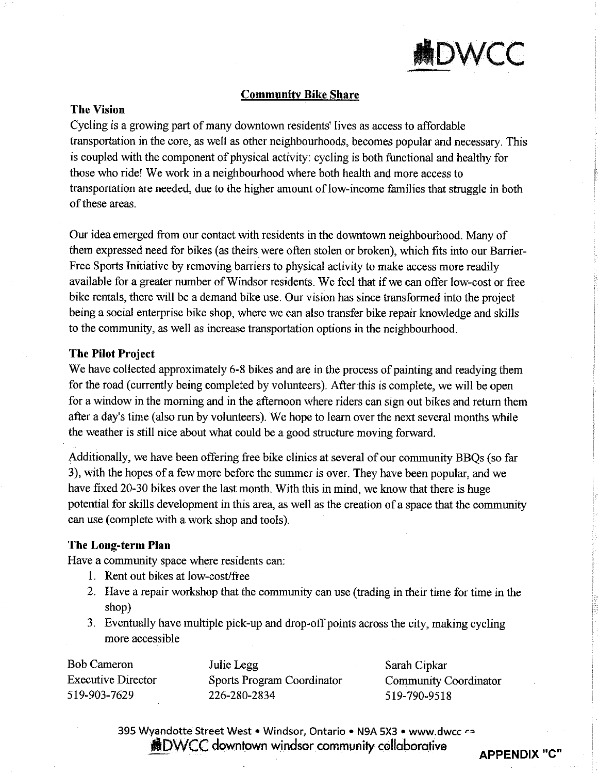

### Communifv Bike Share

### The Vision

Cycling is a growing part of many downtown residents' lives as access to affordable transportation in the core, as well as other neighbourhoods, becomes popular and necessary. This is coupled with the component of physical activity: cycling is both functional and healthy for those who ride! We work in a neighbourhood where both health and more access to transportation are needed, due to the higher amount of low-income families that struggle in both of these areas.

Our idea emerged from our contact with residents in the downtown neighbourhood. Many of them expressed need for bikes (as theirs were often stolen or broken), which fits into our Barrier-Free Sports Initiative by removing barriers to physical activity to make access more readily available for a greater number of Windsor residents. We feel that if we can offer low-cost or free bike rentals, there will be a demand bike use. Our vision has since transformed into the project being a social enterprise bike shop, where we can also transfer bike repair knowledge and skills to the community, as well as increase transportation options in the neighbourhood.

### The Pilot Project

We have collected approximately 6-8 bikes and are in the process of painting and readying them for the road (currently being completed by volunteers). After this is complete, we will be open for a window in the moming and in the aftemoon where riders can sign out bikes and return them after a day's time (also run by volunteers). We hope to learn over the next several months while the weather is still nice about what could be a good structure moving forward.

Additionally, we have been offering free bike clinics at several of our community BBQs (so far 3), with the hopes of a few more before the summer is over. They have been popular, and we have fixed 20-30 bikes over the last month. With this in mind, we know that there is huge potential for skills development in this area, as well as the creation of a space that the community can use (complete with a work shop and tools).

### The Long-term Plan

Have a community space where residents can:

- L Rent out bikes at low-coslfree
- 2. Have a repair workshop that the community can use (trading in their time for time in the shop)
- 3. Eventually have multiple pick-up and drop-off points across the city, making cycling more accessible

Bob Cameron Executive Director s19-903-7629

Julie Legg Sports Program Coordinator 226-280-2834

Sarah Cipkar Commumty Coordinator 519-790-9518

395 Wyandotte Street West . Windsor, Ontario . N9A 5X3 . www.dwcc-ca **ADWCC** downtown windsor community collaborative APPENDIX "C"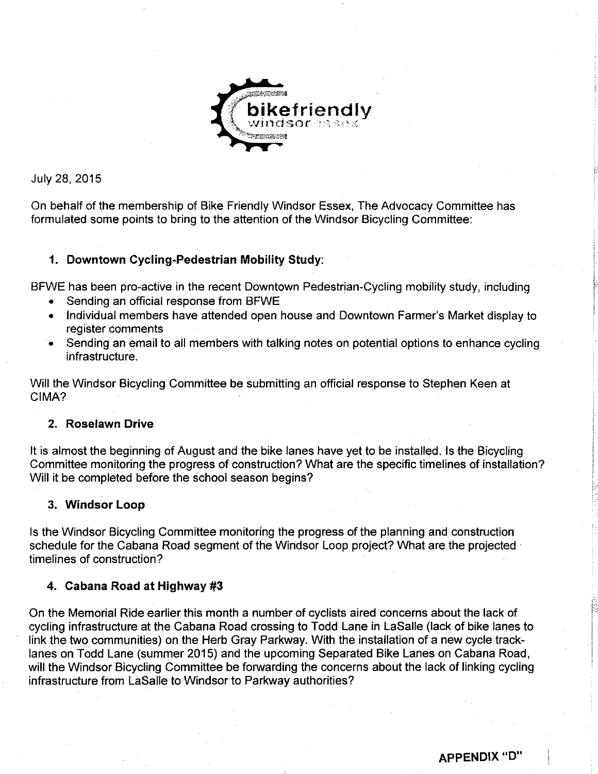

July 28,2015

On behalf of the membership of Bike Friendly Windsor Essex, The Advocacy Committee has formulated some points to bring to the attention of the Windsor Bicycling Committee:

### 1. Downtown Cycling-Pedestrian Mobility Study:

BFWE has been pro-active in the recent Downtown Pedestrian-Cycling mobility study, including

- . Sending an official response from BFWE
- Individual members have attended open house and Downtown Farmer's Market display to register comments
- . Sending an email to all members with talking notes on potential options to enhance cycling infrastructure.

Will the Windsor Bicycling Committee be submitting an official response to Stephen Keen at CIMA?

### 2. Roselawn Drive

It is almost the beginning of August and the bike lanes have yet to be installed. Is the Bicycling Committee monitoring the progress of construction? What are the specific timelines of installation? Will it be completed before the school season begins?

### 3. Windsor Loop

ls the Windsor Bicycling Committee monitoring the progress of the planning and construction schedule for the Cabana Road segment of the Windsor Loop project? What are the projected timelines of construction?

### 4. Cabana Road at Highway  $#3$

On the Memorial Ride earlier this month a number of cyclists aired concerns about the lack of cycling infrastructure at the Cabana Road crossing to Todd Lane in LaSalle (lack of bike lanes to link the two communities) on the Herb Gray Parkway. With the installation of a new cycle tracklanes on Todd Lane (summer 2015) and the upcoming Separated Bike Lanes on Cabana Road, will the Windsor Bicycling Committee be forwarding the concerns about the lack of linking cycling infrastructure from LaSalle to Windsor to Parkway authorities?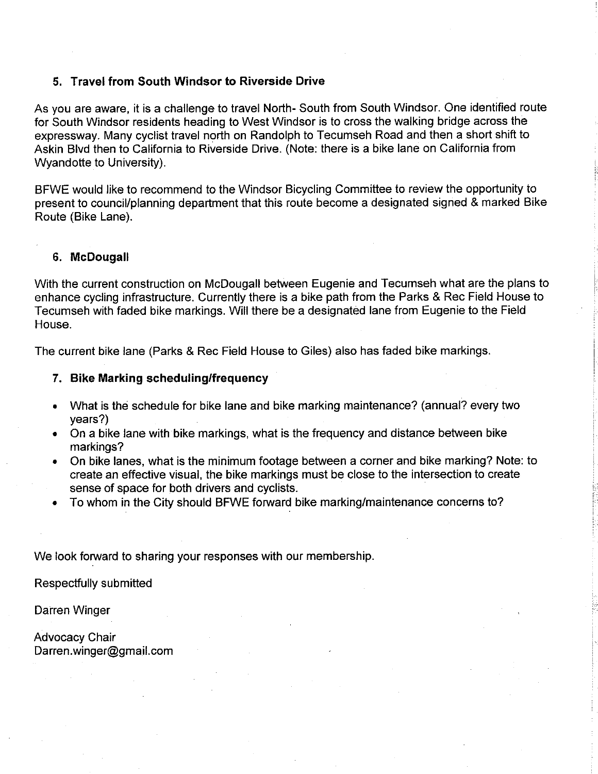### 5. Travel from South Windsor to Riverside Drive

As you are aware, it is a challenge to travel North- South from South Windsor. One identified route for South Windsor residents heading to West Windsor is to cross the walking bridge across the expressway. Many cyclist travel north on Randolph to Tecumseh Road and then a short shift to Askin Blvd then to California to Riverside Drive. (Note: there is a bike lane on California from Wyandotte to University).

BFWE would like to recommend to the Windsor Bicycling Committee to review the opportunity to present to council/planning department that this route become a designated signed & marked Bike Route (Bike Lane).

### 6. McDougall

With the current construction on McDougall between Eugenie and Tecumseh what are the plans to enhance cycling infrastructure. Currently there is a bike path from the Parks & Rec Field House to fecumseh with faded bike markings. Will there be a designatéd lane from Eugenie to the Field House.

The current bike lane (Parks & Rec Field House to Giles) also has faded bike markings.

### 7. Bike Marking scheduling/frequency

- . What is thé schedule for bike lane and bike marking maintenance? (annual? every two years?)
- . On a bike lane with bike markings, what is the frequency and distance between bike markings?
- . On bike lanes, what is the minimum footage between a corner and bike marking? Note: to create an effective visual, the bike markings must be close to the intersection to create sense of space for both drivers and cyclists.
- . To whom in the City should BFWE forward bike marking/maintenance concerns to?

We look forward to sharing your responses with our membership.

Respectfully submitted

Darren Winger

Advocacy Chair Darren.winger@gmail. com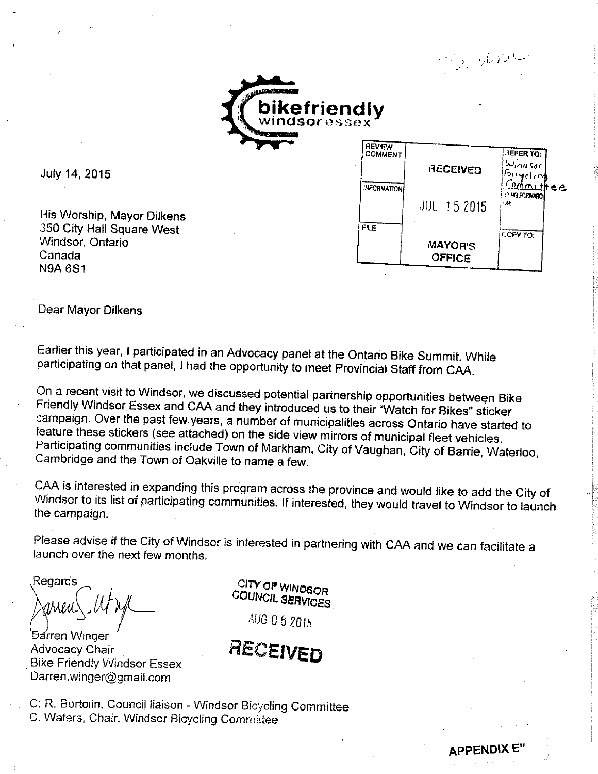

July 14, 2015

His Worship, Mayor Dilkens 350 City Hall Square West Windsor, Ontario Canada **N9A 6S1** 

| REVIEW             |                          |                             |
|--------------------|--------------------------|-----------------------------|
| <b>COMMENT</b>     |                          | <b>HEFER TO:</b>            |
|                    | RECEIVED                 | $w_{index}$<br>Buyeling     |
| <b>INFORMATION</b> |                          | Committee                   |
|                    | 肌 15 2015                | <b>IMMAG FORWARD</b><br>۰W. |
| <b>FILE</b>        |                          | COPY TO:                    |
|                    | <b>MAYOR'S</b><br>OFFICE |                             |
|                    |                          |                             |

**APPENDIX E** 

 $\gamma_2$  , which

Dear Mayor Dilkens

Earlier this year, I participated in an Advocacy panel at the Ontario Bike Summit. While participating on that panel, I had the opportunity to meet Provincial Staff from CAA.

On a recent visit to Windsor, we discussed potential partnership opportunities between Bike Friendly Windsor Essex and CAA and they introduced us to their "Watch for Bikes" sticker campaign. Over the past few years, a number of municipalities across Ontario have started to feature these stickers (see attached) on the side view mirrors of municipal fleet vehicles. Participating communities include Town of Markham, City of Vaughan, City of Barrie, Waterloo, Cambridge and the Town of Oakville to name a few.

CAA is interested in expanding this program across the province and would like to add the City of Windsor to its list of participating communities. If interested, they would travel to Windsor to launch the campaign.

Please advise if the City of Windsor is interested in partnering with CAA and we can facilitate a launch over the next few months.

Regards

Darren Winger **Advocacy Chair Bike Friendly Windsor Essex** Darren.winger@gmail.com

CITY OF WINDSOR COUNCIL SERVICES

AUG 06 2015

RECEIVED

C: R. Bortolin, Council liaison - Windsor Bicycling Committee C. Waters, Chair, Windsor Bicycling Committee